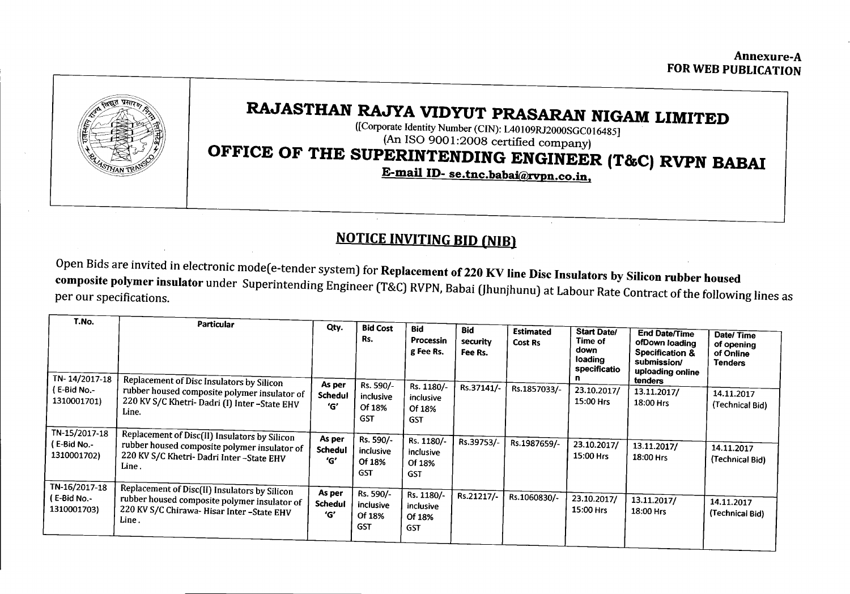Annexure-A FOR WEB PUBLICATION



## RAJASTHAN RAJYA VIDYUT PRASARAN NIGAMLIMITED

([Corporate Identity Number (CIN): L40109RJ2000SGCOI6485] (An ISO 9001:2008 certified company)

## OFFICE OF THE SUPERINTENDING ENGINEER (T&C) RVPN BABAI

E-mail ID-se.tnc.babai@rvpn.co.in.

## NOTICE INVITING BID (NIB)

Open Bids are invited in electronic mode(e-tender system) for Replacement of 220 KV line Disc Insulators by Silicon rubber housed composite polymer insulator under Superintending Engineer (T&C)RVPN,Babai [Ihunjhunu] at Labour Rate Contract of the following lines as per our specifications.

| T.No.<br>TN-14/2017-18                      | <b>Particular</b><br>Replacement of Disc Insulators by Silicon                                                                                      | Qty.                            | <b>Bid Cost</b><br>Rs.                         | <b>Bid</b><br>Processin<br>g Fee Rs.            | <b>Bid</b><br>security<br>Fee Rs. | <b>Estimated</b><br>Cost Rs | <b>Start Date/</b><br>Time of<br>down<br>loading<br>specificatio<br>п | <b>End Date/Time</b><br>ofDown loading<br>Specification &<br>submission/<br>uploading online<br>tenders | Date/Time<br>of opening<br>of Online<br><b>Tenders</b> |
|---------------------------------------------|-----------------------------------------------------------------------------------------------------------------------------------------------------|---------------------------------|------------------------------------------------|-------------------------------------------------|-----------------------------------|-----------------------------|-----------------------------------------------------------------------|---------------------------------------------------------------------------------------------------------|--------------------------------------------------------|
| (E-Bid No.-<br>1310001701)<br>TN-15/2017-18 | rubber housed composite polymer insulator of<br>220 KV S/C Khetri-Dadri (I) Inter-State EHV<br>Line.                                                | As per<br><b>Schedul</b><br>'G' | Rs. 590/-<br>inclusive<br>Of 18%<br><b>GST</b> | Rs. 1180/-<br>inclusive<br>Of 18%<br><b>GST</b> | Rs.37141/-                        | Rs.1857033/-                | 23.10.2017/<br>15:00 Hrs                                              | 13.11.2017/<br>18:00 Hrs                                                                                | 14.11.2017<br>(Technical Bid)                          |
| ( E-Bid No.-<br>1310001702)                 | Replacement of Disc(II) Insulators by Silicon<br>rubber housed composite polymer insulator of<br>220 KV S/C Khetri- Dadri Inter-State EHV<br>Line . | As per<br><b>Schedul</b><br>'G' | Rs. 590/-<br>inclusive<br>Of 18%<br><b>GST</b> | Rs. 1180/-<br>inclusive<br>Of 18%<br><b>GST</b> | Rs.39753/-                        | Rs.1987659/-                | 23.10.2017/<br>15:00 Hrs                                              | 13.11.2017/<br>18:00 Hrs                                                                                | 14.11.2017<br>(Technical Bid)                          |
| TN-16/2017-18<br>(E-Bid No.-<br>1310001703) | Replacement of Disc(II) Insulators by Silicon<br>rubber housed composite polymer insulator of<br>220 KV S/C Chirawa-Hisar Inter-State EHV<br>Line.  | As per<br><b>Schedul</b><br>'G' | Rs. 590/-<br>inclusive<br>Of 18%<br><b>GST</b> | Rs. 1180/-<br>inclusive<br>Of 18%<br><b>GST</b> | Rs.21217/-                        | Rs.1060830/-                | 23.10.2017/<br>15:00 Hrs                                              | 13.11.2017/<br>18:00 Hrs                                                                                | 14.11.2017<br>(Technical Bid)                          |